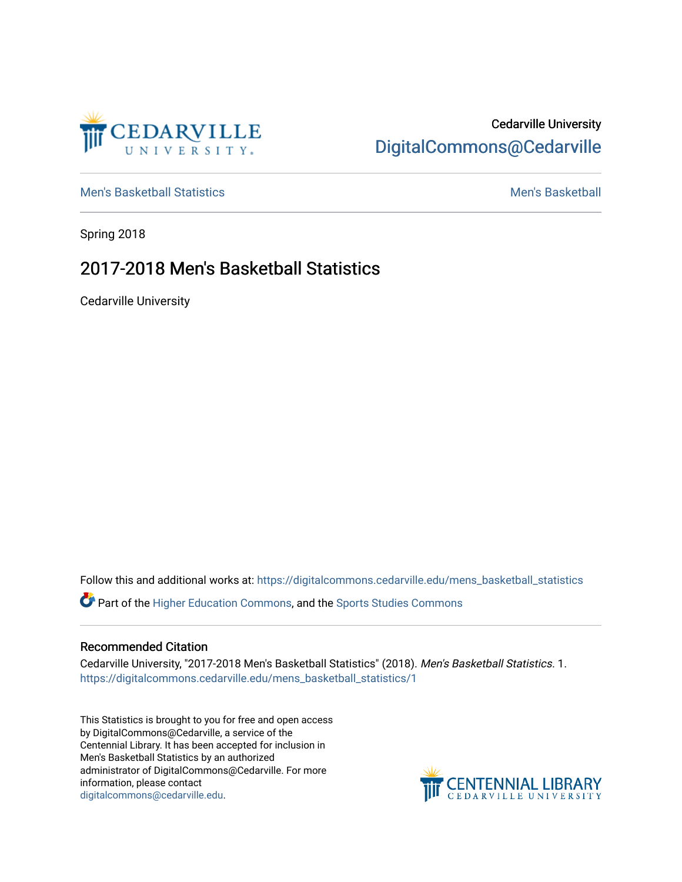

## Cedarville University [DigitalCommons@Cedarville](https://digitalcommons.cedarville.edu/)

[Men's Basketball Statistics](https://digitalcommons.cedarville.edu/mens_basketball_statistics) [Men's Basketball](https://digitalcommons.cedarville.edu/mens_basketball) 

Spring 2018

## 2017-2018 Men's Basketball Statistics

Cedarville University

Follow this and additional works at: [https://digitalcommons.cedarville.edu/mens\\_basketball\\_statistics](https://digitalcommons.cedarville.edu/mens_basketball_statistics?utm_source=digitalcommons.cedarville.edu%2Fmens_basketball_statistics%2F1&utm_medium=PDF&utm_campaign=PDFCoverPages) 

Part of the [Higher Education Commons,](http://network.bepress.com/hgg/discipline/1245?utm_source=digitalcommons.cedarville.edu%2Fmens_basketball_statistics%2F1&utm_medium=PDF&utm_campaign=PDFCoverPages) and the [Sports Studies Commons](http://network.bepress.com/hgg/discipline/1198?utm_source=digitalcommons.cedarville.edu%2Fmens_basketball_statistics%2F1&utm_medium=PDF&utm_campaign=PDFCoverPages) 

## Recommended Citation

Cedarville University, "2017-2018 Men's Basketball Statistics" (2018). Men's Basketball Statistics. 1. [https://digitalcommons.cedarville.edu/mens\\_basketball\\_statistics/1](https://digitalcommons.cedarville.edu/mens_basketball_statistics/1?utm_source=digitalcommons.cedarville.edu%2Fmens_basketball_statistics%2F1&utm_medium=PDF&utm_campaign=PDFCoverPages) 

This Statistics is brought to you for free and open access by DigitalCommons@Cedarville, a service of the Centennial Library. It has been accepted for inclusion in Men's Basketball Statistics by an authorized administrator of DigitalCommons@Cedarville. For more information, please contact [digitalcommons@cedarville.edu](mailto:digitalcommons@cedarville.edu).